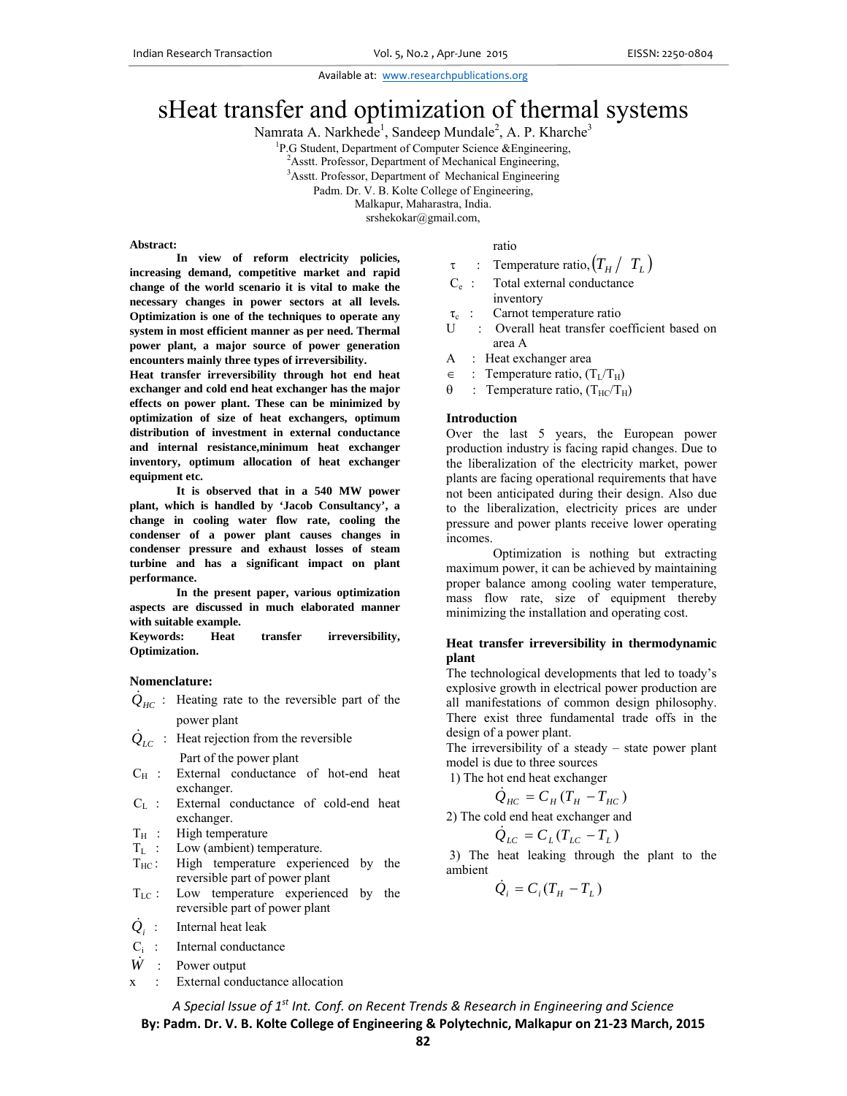# sHeat transfer and optimization of thermal systems

Namrata A. Narkhede<sup>1</sup>, Sandeep Mundale<sup>2</sup>, A. P. Kharche<sup>3</sup>

<sup>1</sup>P.G Student, Department of Computer Science & Engineering,

 $^{2}$ Asstt. Professor, Department of Mechanical Engineering,  $^{3}$ Asstt. Professor, Department of Mechanical Engineering,

<sup>3</sup>Asstt. Professor, Department of Mechanical Engineering

Padm. Dr. V. B. Kolte College of Engineering,

Malkapur, Maharastra, India.

srshekokar@gmail.com,

#### **Abstract:**

**In view of reform electricity policies, increasing demand, competitive market and rapid change of the world scenario it is vital to make the necessary changes in power sectors at all levels. Optimization is one of the techniques to operate any system in most efficient manner as per need. Thermal power plant, a major source of power generation encounters mainly three types of irreversibility.** 

**Heat transfer irreversibility through hot end heat exchanger and cold end heat exchanger has the major effects on power plant. These can be minimized by optimization of size of heat exchangers, optimum distribution of investment in external conductance and internal resistance,minimum heat exchanger inventory, optimum allocation of heat exchanger equipment etc.** 

 **It is observed that in a 540 MW power plant, which is handled by 'Jacob Consultancy', a change in cooling water flow rate, cooling the condenser of a power plant causes changes in condenser pressure and exhaust losses of steam turbine and has a significant impact on plant performance.** 

 **In the present paper, various optimization aspects are discussed in much elaborated manner with suitable example.** 

**Keywords: Heat transfer irreversibility, Optimization.** 

#### **Nomenclature:**

- $\dot{Q}_{HC}$  : Heating rate to the reversible part of the power plant
- $\dot{Q}_{LC}$  : Heat rejection from the reversible

Part of the power plant

- $C_H$  : External conductance of hot-end heat exchanger.
- $C_L$  : External conductance of cold-end heat exchanger.
- $T_H$  : High temperature<br> $T_I$  : Low (ambient) ter
- Low (ambient) temperature.
- $T_{HC}$ : High temperature experienced by the reversible part of power plant
- $T_{LC}$ : Low temperature experienced by the reversible part of power plant
- $Q_i$ : : Internal heat leak
- Ci : Internal conductance
- $\dot{W}$  : Power output
- x : External conductance allocation

# ratio

- $\tau$  : Temperature ratio,  $(T_H / T_L)$
- Ce : Total external conductance inventory
- $\tau_c$  : Carnot temperature ratio<br>U : Overall heat transfer co
- : Overall heat transfer coefficient based on area A
- A : Heat exchanger area
- $\epsilon$  : Temperature ratio,  $(T_L/T_H)$
- $\theta$  : Temperature ratio,  $(T_{\text{HC}}/T_{\text{H}})$

#### **Introduction**

Over the last 5 years, the European power production industry is facing rapid changes. Due to the liberalization of the electricity market, power plants are facing operational requirements that have not been anticipated during their design. Also due to the liberalization, electricity prices are under pressure and power plants receive lower operating incomes.

 Optimization is nothing but extracting maximum power, it can be achieved by maintaining proper balance among cooling water temperature, mass flow rate, size of equipment thereby minimizing the installation and operating cost.

## **Heat transfer irreversibility in thermodynamic plant**

The technological developments that led to toady's explosive growth in electrical power production are all manifestations of common design philosophy. There exist three fundamental trade offs in the design of a power plant.

The irreversibility of a steady – state power plant model is due to three sources

1) The hot end heat exchanger

$$
\dot{Q}_{HC} = C_H (T_H - T_{HC})
$$

2) The cold end heat exchanger and

$$
\dot{Q}_{LC} = C_L (T_{LC} - T_L)
$$

 3) The heat leaking through the plant to the ambient

$$
\dot{Q}_i = C_i (T_H - T_L)
$$

*A Special Issue of 1st Int. Conf. on Recent Trends & Research in Engineering and Science* **By: Padm. Dr. V. B. Kolte College of Engineering & Polytechnic, Malkapur on 21‐23 March, 2015**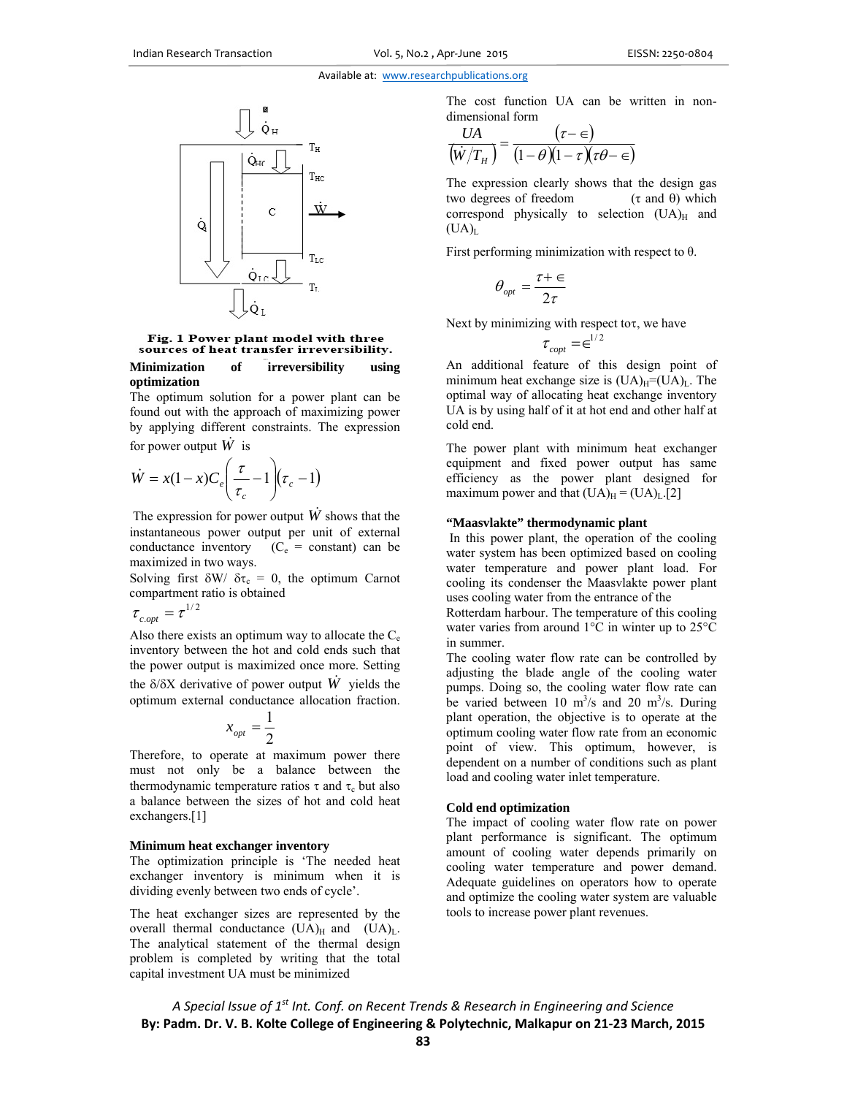

Fig. 1 Power plant model with three sources of heat transfer irreversibility.

### **Minimization of irreversibility using optimization**

The optimum solution for a power plant can be found out with the approach of maximizing power by applying different constraints. The expression

for power output  $\hat{W}$  is

$$
\dot{W} = x(1-x)C_e \left(\frac{\tau}{\tau_c} - 1\right) (\tau_c - 1)
$$

The expression for power output  $\hat{W}$  shows that the instantaneous power output per unit of external conductance inventory  $(C_e = constant)$  can be maximized in two ways.

Solving first  $\delta W / \delta \tau_c = 0$ , the optimum Carnot compartment ratio is obtained  $-1/2$ 

$$
\tau_{c,opt} = \tau
$$

Also there exists an optimum way to allocate the  $C_e$ inventory between the hot and cold ends such that the power output is maximized once more. Setting the  $\delta/\delta X$  derivative of power output  $\dot{W}$  yields the optimum external conductance allocation fraction.

$$
x_{opt}=\frac{1}{2}
$$

Therefore, to operate at maximum power there must not only be a balance between the thermodynamic temperature ratios  $\tau$  and  $\tau_c$  but also a balance between the sizes of hot and cold heat exchangers.[1]

#### **Minimum heat exchanger inventory**

The optimization principle is 'The needed heat exchanger inventory is minimum when it is dividing evenly between two ends of cycle'.

The heat exchanger sizes are represented by the overall thermal conductance  $(UA)_{H}$  and  $(UA)_{L}$ . The analytical statement of the thermal design problem is completed by writing that the total capital investment UA must be minimized

The cost function UA can be written in nondimensional form

$$
\frac{UA}{(w/T_{_H})} = \frac{(\tau - \epsilon)}{(1 - \theta)(1 - \tau)(\tau \theta - \epsilon)}
$$

The expression clearly shows that the design gas two degrees of freedom  $(\tau \text{ and } \theta)$  which correspond physically to selection  $(UA)_H$  and  $(UA)<sub>L</sub>$ 

First performing minimization with respect to θ.

$$
\theta_{opt} = \frac{\tau + \epsilon}{2\tau}
$$

Next by minimizing with respect to  $\tau$ , we have

$$
\tau_{\text{cont}} = \infty^{1/2}
$$

An additional feature of this design point of minimum heat exchange size is  $(UA)<sub>H</sub>=(UA)<sub>L</sub>$ . The optimal way of allocating heat exchange inventory UA is by using half of it at hot end and other half at cold end.

The power plant with minimum heat exchanger equipment and fixed power output has same efficiency as the power plant designed for maximum power and that  $(UA)<sub>H</sub> = (UA)<sub>L</sub>.[2]$ 

#### **"Maasvlakte" thermodynamic plant**

 In this power plant, the operation of the cooling water system has been optimized based on cooling water temperature and power plant load. For cooling its condenser the Maasvlakte power plant uses cooling water from the entrance of the

Rotterdam harbour. The temperature of this cooling water varies from around 1°C in winter up to 25°C in summer.

The cooling water flow rate can be controlled by adjusting the blade angle of the cooling water pumps. Doing so, the cooling water flow rate can be varied between 10  $\text{m}^3\text{/s}$  and 20  $\text{m}^3\text{/s}$ . During plant operation, the objective is to operate at the optimum cooling water flow rate from an economic point of view. This optimum, however, is dependent on a number of conditions such as plant load and cooling water inlet temperature.

#### **Cold end optimization**

The impact of cooling water flow rate on power plant performance is significant. The optimum amount of cooling water depends primarily on cooling water temperature and power demand. Adequate guidelines on operators how to operate and optimize the cooling water system are valuable tools to increase power plant revenues.

*A Special Issue of 1st Int. Conf. on Recent Trends & Research in Engineering and Science* **By: Padm. Dr. V. B. Kolte College of Engineering & Polytechnic, Malkapur on 21‐23 March, 2015**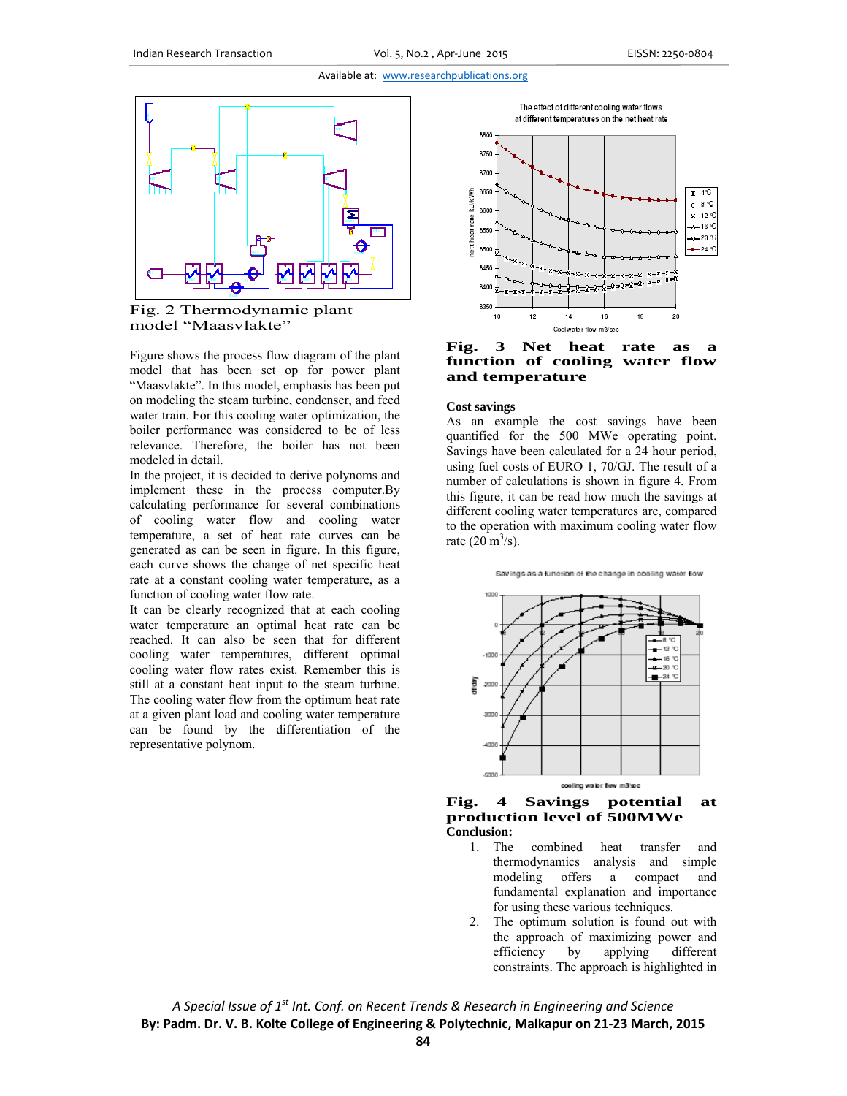



Figure shows the process flow diagram of the plant model that has been set op for power plant "Maasvlakte". In this model, emphasis has been put on modeling the steam turbine, condenser, and feed water train. For this cooling water optimization, the boiler performance was considered to be of less relevance. Therefore, the boiler has not been modeled in detail.

In the project, it is decided to derive polynoms and implement these in the process computer.By calculating performance for several combinations of cooling water flow and cooling water temperature, a set of heat rate curves can be generated as can be seen in figure. In this figure, each curve shows the change of net specific heat rate at a constant cooling water temperature, as a function of cooling water flow rate.

It can be clearly recognized that at each cooling water temperature an optimal heat rate can be reached. It can also be seen that for different cooling water temperatures, different optimal cooling water flow rates exist. Remember this is still at a constant heat input to the steam turbine. The cooling water flow from the optimum heat rate at a given plant load and cooling water temperature can be found by the differentiation of the representative polynom.



The effect of different cooling water flows

**Fig. 3 Net heat rate as function of cooling water flow and temperature** 

#### **Cost savings**

As an example the cost savings have been quantified for the 500 MWe operating point. Savings have been calculated for a 24 hour period, using fuel costs of EURO 1, 70/GJ. The result of a number of calculations is shown in figure 4. From this figure, it can be read how much the savings at different cooling water temperatures are, compared to the operation with maximum cooling water flow rate  $(20 \text{ m}^3/\text{s})$ .

Savings as a function of the change in cooling water flow





- 1. The combined heat transfer and thermodynamics analysis and simple modeling offers a compact and fundamental explanation and importance for using these various techniques.
- 2. The optimum solution is found out with the approach of maximizing power and efficiency by applying different constraints. The approach is highlighted in

*A Special Issue of 1st Int. Conf. on Recent Trends & Research in Engineering and Science* **By: Padm. Dr. V. B. Kolte College of Engineering & Polytechnic, Malkapur on 21‐23 March, 2015**